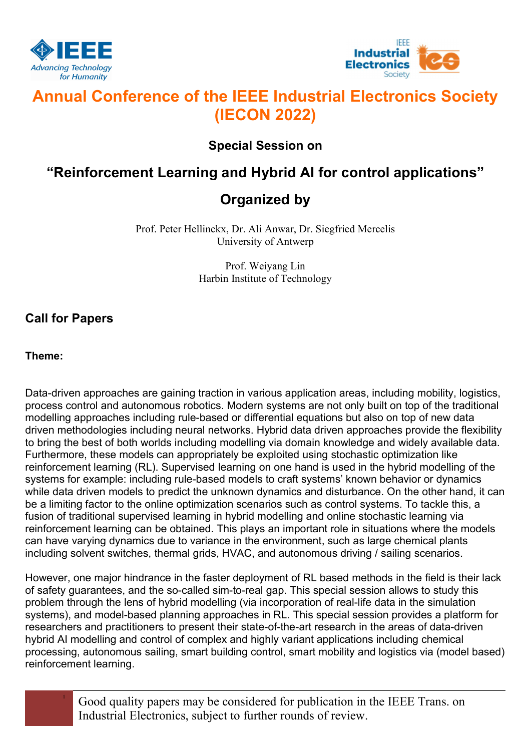



# Annual Conference of the IEEE Industrial Electronics Society (IECON 2022)

### Special Session on

## "Reinforcement Learning and Hybrid AI for control applications"

## Organized by

Prof. Peter Hellinckx, Dr. Ali Anwar, Dr. Siegfried Mercelis University of Antwerp

> Prof. Weiyang Lin Harbin Institute of Technology

### Call for Papers

#### Theme:

Data-driven approaches are gaining traction in various application areas, including mobility, logistics, process control and autonomous robotics. Modern systems are not only built on top of the traditional modelling approaches including rule-based or differential equations but also on top of new data driven methodologies including neural networks. Hybrid data driven approaches provide the flexibility to bring the best of both worlds including modelling via domain knowledge and widely available data. Furthermore, these models can appropriately be exploited using stochastic optimization like reinforcement learning (RL). Supervised learning on one hand is used in the hybrid modelling of the systems for example: including rule-based models to craft systems' known behavior or dynamics while data driven models to predict the unknown dynamics and disturbance. On the other hand, it can be a limiting factor to the online optimization scenarios such as control systems. To tackle this, a fusion of traditional supervised learning in hybrid modelling and online stochastic learning via reinforcement learning can be obtained. This plays an important role in situations where the models can have varying dynamics due to variance in the environment, such as large chemical plants including solvent switches, thermal grids, HVAC, and autonomous driving / sailing scenarios.

However, one major hindrance in the faster deployment of RL based methods in the field is their lack of safety guarantees, and the so-called sim-to-real gap. This special session allows to study this problem through the lens of hybrid modelling (via incorporation of real-life data in the simulation systems), and model-based planning approaches in RL. This special session provides a platform for researchers and practitioners to present their state-of-the-art research in the areas of data-driven hybrid AI modelling and control of complex and highly variant applications including chemical processing, autonomous sailing, smart building control, smart mobility and logistics via (model based) reinforcement learning.

> <sup>1</sup> Good quality papers may be considered for publication in the IEEE Trans. on Industrial Electronics, subject to further rounds of review.